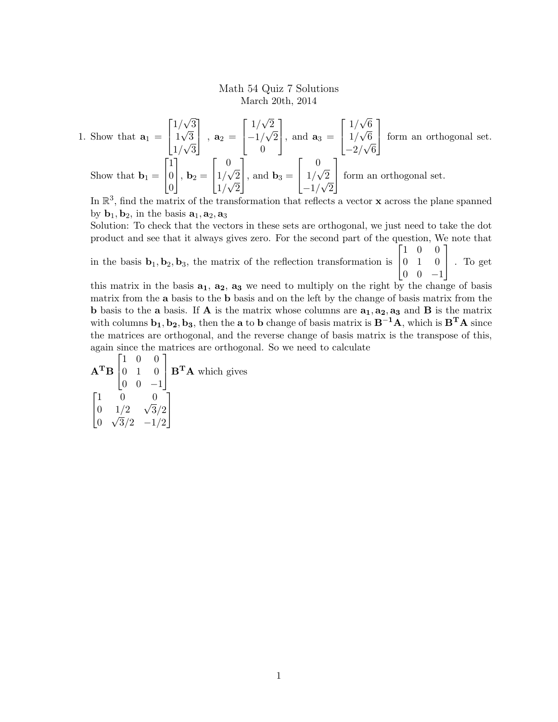## Math 54 Quiz 7 Solutions March 20th, 2014

1. Show that 
$$
\mathbf{a}_1 = \begin{bmatrix} 1/\sqrt{3} \\ 1\sqrt{3} \\ 1/\sqrt{3} \end{bmatrix}
$$
,  $\mathbf{a}_2 = \begin{bmatrix} 1/\sqrt{2} \\ -1/\sqrt{2} \\ 0 \end{bmatrix}$ , and  $\mathbf{a}_3 = \begin{bmatrix} 1/\sqrt{6} \\ 1/\sqrt{6} \\ -2/\sqrt{6} \end{bmatrix}$  form an orthogonal set.  
Show that  $\mathbf{b}_1 = \begin{bmatrix} 1 \\ 0 \\ 0 \end{bmatrix}$ ,  $\mathbf{b}_2 = \begin{bmatrix} 0 \\ 1/\sqrt{2} \\ 1/\sqrt{2} \end{bmatrix}$ , and  $\mathbf{b}_3 = \begin{bmatrix} 0 \\ 1/\sqrt{2} \\ -1/\sqrt{2} \end{bmatrix}$  form an orthogonal set.

In  $\mathbb{R}^3$ , find the matrix of the transformation that reflects a vector **x** across the plane spanned by  $\mathbf{b}_1, \mathbf{b}_2$ , in the basis  $\mathbf{a}_1, \mathbf{a}_2, \mathbf{a}_3$ 

Solution: To check that the vectors in these sets are orthogonal, we just need to take the dot product and see that it always gives zero. For the second part of the question, We note that  $\begin{bmatrix} 1 & 0 & 0 \end{bmatrix}$ 

in the basis  $\mathbf{b}_1, \mathbf{b}_2, \mathbf{b}_3$ , the matrix of the reflection transformation is  $\begin{bmatrix} 0 & 1 & 0 \\ 0 & 0 & 1 \end{bmatrix}$ . To get  $\begin{bmatrix} 0 & 0 & -1 \end{bmatrix}$ 

this matrix in the basis  $a_1$ ,  $a_2$ ,  $a_3$  we need to multiply on the right by the change of basis matrix from the a basis to the b basis and on the left by the change of basis matrix from the **b** basis to the **a** basis. If **A** is the matrix whose columns are  $a_1, a_2, a_3$  and **B** is the matrix with columns  $\mathbf{b}_1, \mathbf{b}_2, \mathbf{b}_3$ , then the **a** to **b** change of basis matrix is  $\mathbf{B}^{-1}\mathbf{A}$ , which is  $\mathbf{B}^{\mathbf{T}}\mathbf{A}$  since the matrices are orthogonal, and the reverse change of basis matrix is the transpose of this, again since the matrices are orthogonal. So we need to calculate

 $\mathbf{A}^{\mathbf{T}}\mathbf{B}$   $\begin{bmatrix} 0 & 1 & 0 \ 0 & 0 & 1 \end{bmatrix}$   $\mathbf{B}^{\mathbf{T}}\mathbf{A}$  which gives  $\begin{bmatrix} 1 & 0 & 0 \end{bmatrix}$  $\begin{bmatrix} 0 & 1 & 0 \\ 0 & 0 & -1 \end{bmatrix}$ 1  $\sqrt{ }$  $\overline{1}$  $\begin{matrix} 1 & 0 & 0 \\ 0 & 0 & \overline{0} \end{matrix}$ 0  $1/2$  $3/2$ 0  $3/2$   $-1/2$ 1  $\overline{1}$